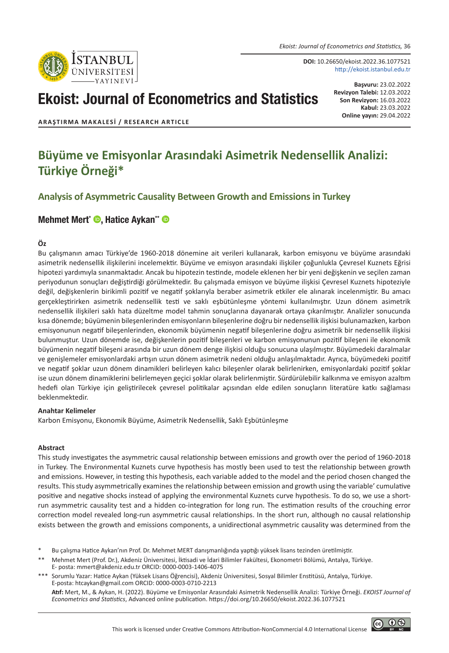*Ekoist: Journal of Econometrics and Statistics,* 36



**DOI:** 10.26650/ekoist.2022.36.1077521 http://ekoist.istanbul.edu.tr

# Ekoist: Journal of Econometrics and Statistics

**Başvuru:** 23.02.2022 **Revizyon Talebi:** 12.03.2022 **Son Revizyon:** 16.03.2022 **Kabul:** 23.03.2022 **Online yayın:** 29.04.2022

**ARAŞTIRMA MAKALESI / RESEARCH ARTICLE**

## **Büyüme ve Emisyonlar Arasındaki Asimetrik Nedensellik Analizi: Türkiye Örneği\***

## **Analysis of Asymmetric Causality Between Growth and Emissions in Turkey**

## [Mehmet Mert\\*](https://orcid.org/0000-0003-1406-4075) **©.** [Hatice Aykan\\*\\*](https://orcid.org/0000-0003-0710-2213) ©

#### **Öz**

Bu çalışmanın amacı Türkiye'de 1960-2018 dönemine ait verileri kullanarak, karbon emisyonu ve büyüme arasındaki asimetrik nedensellik ilişkilerini incelemektir. Büyüme ve emisyon arasındaki ilişkiler çoğunlukla Çevresel Kuznets Eğrisi hipotezi yardımıyla sınanmaktadır. Ancak bu hipotezin testinde, modele eklenen her bir yeni değişkenin ve seçilen zaman periyodunun sonuçları değiştirdiği görülmektedir. Bu çalışmada emisyon ve büyüme ilişkisi Çevresel Kuznets hipoteziyle değil, değişkenlerin birikimli pozitif ve negatif şoklarıyla beraber asimetrik etkiler ele alınarak incelenmiştir. Bu amacı gerçekleştirirken asimetrik nedensellik testi ve saklı eşbütünleşme yöntemi kullanılmıştır. Uzun dönem asimetrik nedensellik ilişkileri saklı hata düzeltme model tahmin sonuçlarına dayanarak ortaya çıkarılmıştır. Analizler sonucunda kısa dönemde; büyümenin bileşenlerinden emisyonların bileşenlerine doğru bir nedensellik ilişkisi bulunamazken, karbon emisyonunun negatif bileşenlerinden, ekonomik büyümenin negatif bileşenlerine doğru asimetrik bir nedensellik ilişkisi bulunmuştur. Uzun dönemde ise, değişkenlerin pozitif bileşenleri ve karbon emisyonunun pozitif bileşeni ile ekonomik büyümenin negatif bileşeni arasında bir uzun dönem denge ilişkisi olduğu sonucuna ulaşılmıştır. Büyümedeki daralmalar ve genişlemeler emisyonlardaki artışın uzun dönem asimetrik nedeni olduğu anlaşılmaktadır. Ayrıca, büyümedeki pozitif ve negatif şoklar uzun dönem dinamikleri belirleyen kalıcı bileşenler olarak belirlenirken, emisyonlardaki pozitif şoklar ise uzun dönem dinamiklerini belirlemeyen geçici şoklar olarak belirlenmiştir. Sürdürülebilir kalkınma ve emisyon azaltım hedefi olan Türkiye için geliştirilecek çevresel politikalar açısından elde edilen sonuçların literatüre katkı sağlaması beklenmektedir.

#### **Anahtar Kelimeler**

Karbon Emisyonu, Ekonomik Büyüme, Asimetrik Nedensellik, Saklı Eşbütünleşme

#### **Abstract**

This study investigates the asymmetric causal relationship between emissions and growth over the period of 1960-2018 in Turkey. The Environmental Kuznets curve hypothesis has mostly been used to test the relationship between growth and emissions. However, in testing this hypothesis, each variable added to the model and the period chosen changed the results. This study asymmetrically examines the relationship between emission and growth using the variable' cumulative positive and negative shocks instead of applying the environmental Kuznets curve hypothesis. To do so, we use a shortrun asymmetric causality test and a hidden co-integration for long run. The estimation results of the crouching error correction model revealed long-run asymmetric causal relationships. In the short run, although no causal relationship exists between the growth and emissions components, a unidirectional asymmetric causality was determined from the

- Bu çalışma Hatice Aykan'nın Prof. Dr. Mehmet MERT danışmanlığında yaptığı yüksek lisans tezinden üretilmiştir.
- \*\* Mehmet Mert (Prof. Dr.), Akdeniz Üniversitesi, İktisadi ve İdari Bilimler Fakültesi, Ekonometri Bölümü, Antalya, Türkiye. E- posta: mmert@akdeniz.edu.tr ORCID: 0000-0003-1406-4075
- \*\*\* Sorumlu Yazar: Hatice Aykan (Yüksek Lisans Öğrencisi), Akdeniz Üniversitesi, Sosyal Bilimler Enstitüsü, Antalya, Türkiye. E-posta: htcaykan@gmail.com ORCID: 0000-0003-0710-2213

**Atıf:** Mert, M., & Aykan, H. (2022). Büyüme ve Emisyonlar Arasındaki Asimetrik Nedensellik Analizi: Türkiye Örneği. *EKOIST Journal of Econometrics and Statistics*, Advanced online publication. https://doi.org/10.26650/ekoist.2022.36.1077521

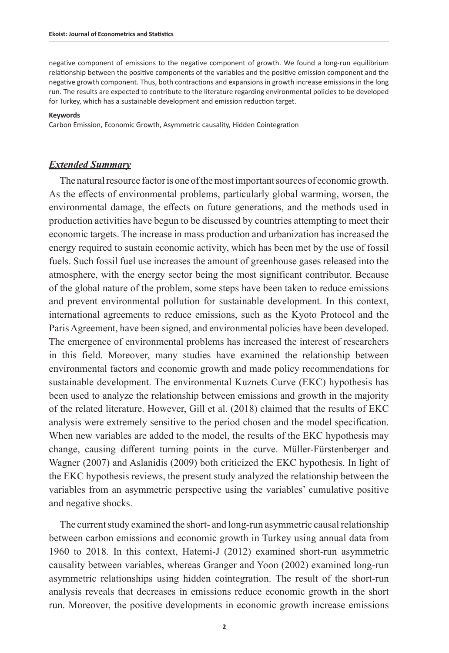negative component of emissions to the negative component of growth. We found a long-run equilibrium relationship between the positive components of the variables and the positive emission component and the negative growth component. Thus, both contractions and expansions in growth increase emissions in the long run. The results are expected to contribute to the literature regarding environmental policies to be developed for Turkey, which has a sustainable development and emission reduction target.

#### **Keywords**

Carbon Emission, Economic Growth, Asymmetric causality, Hidden Cointegration

## *Extended Summary*

The natural resource factor is one of the most important sources of economic growth. As the effects of environmental problems, particularly global warming, worsen, the environmental damage, the effects on future generations, and the methods used in production activities have begun to be discussed by countries attempting to meet their economic targets. The increase in mass production and urbanization has increased the energy required to sustain economic activity, which has been met by the use of fossil fuels. Such fossil fuel use increases the amount of greenhouse gases released into the atmosphere, with the energy sector being the most significant contributor. Because of the global nature of the problem, some steps have been taken to reduce emissions and prevent environmental pollution for sustainable development. In this context, international agreements to reduce emissions, such as the Kyoto Protocol and the Paris Agreement, have been signed, and environmental policies have been developed. The emergence of environmental problems has increased the interest of researchers in this field. Moreover, many studies have examined the relationship between environmental factors and economic growth and made policy recommendations for sustainable development. The environmental Kuznets Curve (EKC) hypothesis has been used to analyze the relationship between emissions and growth in the majority of the related literature. However, Gill et al. (2018) claimed that the results of EKC analysis were extremely sensitive to the period chosen and the model specification. When new variables are added to the model, the results of the EKC hypothesis may change, causing different turning points in the curve. Müller-Fürstenberger and Wagner (2007) and Aslanidis (2009) both criticized the EKC hypothesis. In light of the EKC hypothesis reviews, the present study analyzed the relationship between the variables from an asymmetric perspective using the variables' cumulative positive and negative shocks.

The current study examined the short- and long-run asymmetric causal relationship between carbon emissions and economic growth in Turkey using annual data from 1960 to 2018. In this context, Hatemi-J (2012) examined short-run asymmetric causality between variables, whereas Granger and Yoon (2002) examined long-run asymmetric relationships using hidden cointegration. The result of the short-run analysis reveals that decreases in emissions reduce economic growth in the short run. Moreover, the positive developments in economic growth increase emissions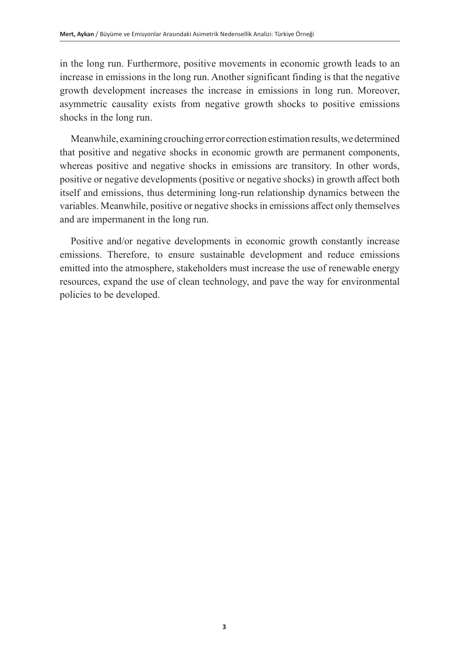in the long run. Furthermore, positive movements in economic growth leads to an increase in emissions in the long run. Another significant finding is that the negative growth development increases the increase in emissions in long run. Moreover, asymmetric causality exists from negative growth shocks to positive emissions shocks in the long run.

Meanwhile, examining crouching error correction estimation results, we determined that positive and negative shocks in economic growth are permanent components, whereas positive and negative shocks in emissions are transitory. In other words, positive or negative developments (positive or negative shocks) in growth affect both itself and emissions, thus determining long-run relationship dynamics between the variables. Meanwhile, positive or negative shocks in emissions affect only themselves and are impermanent in the long run.

Positive and/or negative developments in economic growth constantly increase emissions. Therefore, to ensure sustainable development and reduce emissions emitted into the atmosphere, stakeholders must increase the use of renewable energy resources, expand the use of clean technology, and pave the way for environmental policies to be developed.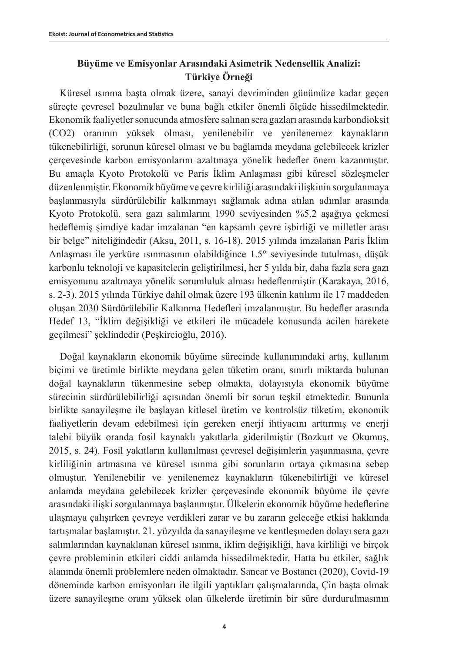## **Büyüme ve Emisyonlar Arasındaki Asimetrik Nedensellik Analizi: Türkiye Örneği**

Küresel ısınma başta olmak üzere, sanayi devriminden günümüze kadar geçen süreçte çevresel bozulmalar ve buna bağlı etkiler önemli ölçüde hissedilmektedir. Ekonomik faaliyetler sonucunda atmosfere salınan sera gazları arasında karbondioksit (CO2) oranının yüksek olması, yenilenebilir ve yenilenemez kaynakların tükenebilirliği, sorunun küresel olması ve bu bağlamda meydana gelebilecek krizler çerçevesinde karbon emisyonlarını azaltmaya yönelik hedefler önem kazanmıştır. Bu amaçla Kyoto Protokolü ve Paris İklim Anlaşması gibi küresel sözleşmeler düzenlenmiştir. Ekonomik büyüme ve çevre kirliliği arasındaki ilişkinin sorgulanmaya başlanmasıyla sürdürülebilir kalkınmayı sağlamak adına atılan adımlar arasında Kyoto Protokolü, sera gazı salımlarını 1990 seviyesinden %5,2 aşağıya çekmesi hedeflemiş şimdiye kadar imzalanan "en kapsamlı çevre işbirliği ve milletler arası bir belge" niteliğindedir (Aksu, 2011, s. 16-18). 2015 yılında imzalanan Paris İklim Anlaşması ile yerküre ısınmasının olabildiğince 1.5° seviyesinde tutulması, düşük karbonlu teknoloji ve kapasitelerin geliştirilmesi, her 5 yılda bir, daha fazla sera gazı emisyonunu azaltmaya yönelik sorumluluk alması hedeflenmiştir (Karakaya, 2016, s. 2-3). 2015 yılında Türkiye dahil olmak üzere 193 ülkenin katılımı ile 17 maddeden oluşan 2030 Sürdürülebilir Kalkınma Hedefleri imzalanmıştır. Bu hedefler arasında Hedef 13, "İklim değişikliği ve etkileri ile mücadele konusunda acilen harekete geçilmesi" şeklindedir (Peşkircioğlu, 2016).

Doğal kaynakların ekonomik büyüme sürecinde kullanımındaki artış, kullanım biçimi ve üretimle birlikte meydana gelen tüketim oranı, sınırlı miktarda bulunan doğal kaynakların tükenmesine sebep olmakta, dolayısıyla ekonomik büyüme sürecinin sürdürülebilirliği açısından önemli bir sorun teşkil etmektedir. Bununla birlikte sanayileşme ile başlayan kitlesel üretim ve kontrolsüz tüketim, ekonomik faaliyetlerin devam edebilmesi için gereken enerji ihtiyacını arttırmış ve enerji talebi büyük oranda fosil kaynaklı yakıtlarla giderilmiştir (Bozkurt ve Okumuş, 2015, s. 24). Fosil yakıtların kullanılması çevresel değişimlerin yaşanmasına, çevre kirliliğinin artmasına ve küresel ısınma gibi sorunların ortaya çıkmasına sebep olmuştur. Yenilenebilir ve yenilenemez kaynakların tükenebilirliği ve küresel anlamda meydana gelebilecek krizler çerçevesinde ekonomik büyüme ile çevre arasındaki ilişki sorgulanmaya başlanmıştır. Ülkelerin ekonomik büyüme hedeflerine ulaşmaya çalışırken çevreye verdikleri zarar ve bu zararın geleceğe etkisi hakkında tartışmalar başlamıştır. 21. yüzyılda da sanayileşme ve kentleşmeden dolayı sera gazı salımlarından kaynaklanan küresel ısınma, iklim değişikliği, hava kirliliği ve birçok çevre probleminin etkileri ciddi anlamda hissedilmektedir. Hatta bu etkiler, sağlık alanında önemli problemlere neden olmaktadır. Sancar ve Bostancı (2020), Covid-19 döneminde karbon emisyonları ile ilgili yaptıkları çalışmalarında, Çin başta olmak üzere sanayileşme oranı yüksek olan ülkelerde üretimin bir süre durdurulmasının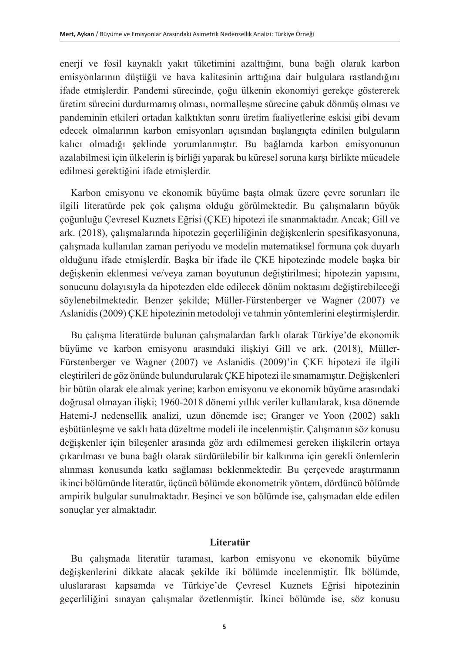enerji ve fosil kaynaklı yakıt tüketimini azalttığını, buna bağlı olarak karbon emisyonlarının düştüğü ve hava kalitesinin arttığına dair bulgulara rastlandığını ifade etmişlerdir. Pandemi sürecinde, çoğu ülkenin ekonomiyi gerekçe göstererek üretim sürecini durdurmamış olması, normalleşme sürecine çabuk dönmüş olması ve pandeminin etkileri ortadan kalktıktan sonra üretim faaliyetlerine eskisi gibi devam edecek olmalarının karbon emisyonları açısından başlangıçta edinilen bulguların kalıcı olmadığı şeklinde yorumlanmıştır. Bu bağlamda karbon emisyonunun azalabilmesi için ülkelerin iş birliği yaparak bu küresel soruna karşı birlikte mücadele edilmesi gerektiğini ifade etmişlerdir.

Karbon emisyonu ve ekonomik büyüme başta olmak üzere çevre sorunları ile ilgili literatürde pek çok çalışma olduğu görülmektedir. Bu çalışmaların büyük çoğunluğu Çevresel Kuznets Eğrisi (ÇKE) hipotezi ile sınanmaktadır. Ancak; Gill ve ark. (2018), çalışmalarında hipotezin geçerliliğinin değişkenlerin spesifikasyonuna, çalışmada kullanılan zaman periyodu ve modelin matematiksel formuna çok duyarlı olduğunu ifade etmişlerdir. Başka bir ifade ile ÇKE hipotezinde modele başka bir değişkenin eklenmesi ve/veya zaman boyutunun değiştirilmesi; hipotezin yapısını, sonucunu dolayısıyla da hipotezden elde edilecek dönüm noktasını değiştirebileceği söylenebilmektedir. Benzer şekilde; Müller-Fürstenberger ve Wagner (2007) ve Aslanidis (2009) ÇKE hipotezinin metodoloji ve tahmin yöntemlerini eleştirmişlerdir.

Bu çalışma literatürde bulunan çalışmalardan farklı olarak Türkiye'de ekonomik büyüme ve karbon emisyonu arasındaki ilişkiyi Gill ve ark. (2018), Müller-Fürstenberger ve Wagner (2007) ve Aslanidis (2009)'in ÇKE hipotezi ile ilgili eleştirileri de göz önünde bulundurularak ÇKE hipotezi ile sınamamıştır. Değişkenleri bir bütün olarak ele almak yerine; karbon emisyonu ve ekonomik büyüme arasındaki doğrusal olmayan ilişki; 1960-2018 dönemi yıllık veriler kullanılarak, kısa dönemde Hatemi-J nedensellik analizi, uzun dönemde ise; Granger ve Yoon (2002) saklı eşbütünleşme ve saklı hata düzeltme modeli ile incelenmiştir. Çalışmanın söz konusu değişkenler için bileşenler arasında göz ardı edilmemesi gereken ilişkilerin ortaya çıkarılması ve buna bağlı olarak sürdürülebilir bir kalkınma için gerekli önlemlerin alınması konusunda katkı sağlaması beklenmektedir. Bu çerçevede araştırmanın ikinci bölümünde literatür, üçüncü bölümde ekonometrik yöntem, dördüncü bölümde ampirik bulgular sunulmaktadır. Beşinci ve son bölümde ise, çalışmadan elde edilen sonuçlar yer almaktadır.

### **Literatür**

Bu çalışmada literatür taraması, karbon emisyonu ve ekonomik büyüme değişkenlerini dikkate alacak şekilde iki bölümde incelenmiştir. İlk bölümde, uluslararası kapsamda ve Türkiye'de Çevresel Kuznets Eğrisi hipotezinin geçerliliğini sınayan çalışmalar özetlenmiştir. İkinci bölümde ise, söz konusu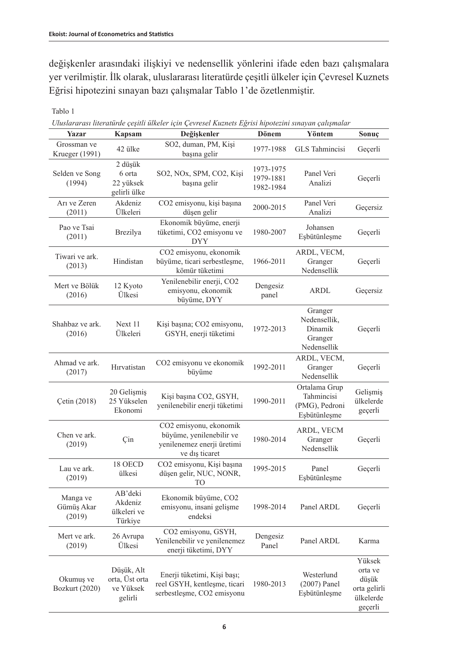değişkenler arasındaki ilişkiyi ve nedensellik yönlerini ifade eden bazı çalışmalara yer verilmiştir. İlk olarak, uluslararası literatürde çeşitli ülkeler için Çevresel Kuznets Eğrisi hipotezini sınayan bazı çalışmalar Tablo 1'de özetlenmiştir.

| Yazar                            | <b>Kapsam</b>                                        | Outstararası ineraturae çeşitti ülketer için Çevreset Kuznets Egrisi nipotezini sınayan çatışmalar<br>Değişkenler | Dönem                               | Yöntem                                                        | Sonuç                                                              |
|----------------------------------|------------------------------------------------------|-------------------------------------------------------------------------------------------------------------------|-------------------------------------|---------------------------------------------------------------|--------------------------------------------------------------------|
| Grossman ve<br>Krueger (1991)    | 42 ülke                                              | SO2, duman, PM, Kişi<br>başına gelir                                                                              | 1977-1988                           | GLS Tahmincisi                                                | Geçerli                                                            |
| Selden ve Song<br>(1994)         | 2 düşük<br>6 orta<br>22 yüksek<br>gelirli ülke       | SO2, NOx, SPM, CO2, Kişi<br>başına gelir                                                                          | 1973-1975<br>1979-1881<br>1982-1984 | Panel Veri<br>Analizi                                         | Geçerli                                                            |
| Arı ve Zeren<br>(2011)           | Akdeniz<br>Ülkeleri                                  | CO2 emisyonu, kişi başına<br>düşen gelir                                                                          | 2000-2015                           | Panel Veri<br>Analizi                                         | Geçersiz                                                           |
| Pao ve Tsai<br>(2011)            | Brezilya                                             | Ekonomik büyüme, enerji<br>tüketimi, CO2 emisyonu ve<br><b>DYY</b>                                                | 1980-2007                           | Johansen<br>Eşbütünleşme                                      | Geçerli                                                            |
| Tiwari ve ark.<br>(2013)         | Hindistan                                            | CO2 emisyonu, ekonomik<br>büyüme, ticari serbestleşme,<br>kömür tüketimi                                          | 1966-2011                           | ARDL, VECM,<br>Granger<br>Nedensellik                         | Geçerli                                                            |
| Mert ve Bölük<br>(2016)          | 12 Kyoto<br>Ülkesi                                   | Yenilenebilir enerji, CO2<br>emisyonu, ekonomik<br>büyüme, DYY                                                    | Dengesiz<br>panel                   | ARDL                                                          | Geçersiz                                                           |
| Shahbaz ve ark.<br>(2016)        | Next 11<br>Ülkeleri                                  | Kişi başına; CO2 emisyonu,<br>GSYH, enerji tüketimi                                                               | 1972-2013                           | Granger<br>Nedensellik,<br>Dinamik<br>Granger<br>Nedensellik  | Geçerli                                                            |
| Ahmad ve ark.<br>(2017)          | Hırvatistan                                          | CO2 emisyonu ve ekonomik<br>büyüme                                                                                | 1992-2011                           | ARDL, VECM,<br>Granger<br>Nedensellik                         | Geçerli                                                            |
| Cetin (2018)                     | 20 Gelişmiş<br>25 Yükselen<br>Ekonomi                | Kişi başına CO2, GSYH,<br>yenilenebilir enerji tüketimi                                                           | 1990-2011                           | Ortalama Grup<br>Tahmincisi<br>(PMG), Pedroni<br>Esbütünleşme | Gelişmiş<br>ülkelerde<br>geçerli                                   |
| Chen ve ark.<br>(2019)           | Çin                                                  | CO2 emisyonu, ekonomik<br>büyüme, yenilenebilir ve<br>yenilenemez enerji üretimi<br>ve dis ticaret                | 1980-2014                           | ARDL, VECM<br>Granger<br>Nedensellik                          | Geçerli                                                            |
| Lau ve ark.<br>(2019)            | 18 OECD<br>ülkesi                                    | CO2 emisyonu, Kişi başına<br>düşen gelir, NUC, NONR,<br>ΤО                                                        | 1995-2015                           | Panel<br>Esbütünleşme                                         | Geçerli                                                            |
| Manga ve<br>Gümüş Akar<br>(2019) | AB'deki<br>Akdeniz<br>ülkeleri ve<br>Türkiye         | Ekonomik büyüme, CO2<br>emisyonu, insani gelişme<br>endeksi                                                       | 1998-2014                           | Panel ARDL                                                    | Geçerli                                                            |
| Mert ve ark.<br>(2019)           | 26 Avrupa<br>Ülkesi                                  | CO2 emisyonu, GSYH,<br>Yenilenebilir ve yenilenemez<br>enerji tüketimi, DYY                                       | Dengesiz<br>Panel                   | Panel ARDL                                                    | Karma                                                              |
| Okumuş ve<br>Bozkurt (2020)      | Düşük, Alt<br>orta, Üst orta<br>ve Yüksek<br>gelirli | Enerji tüketimi, Kişi başı;<br>reel GSYH, kentleşme, ticari<br>serbestlesme, CO2 emisyonu                         | 1980-2013                           | Westerlund<br>$(2007)$ Panel<br>Esbütünleşme                  | Yüksek<br>orta ve<br>düşük<br>orta gelirli<br>ülkelerde<br>geçerli |

## Tablo 1

*Uluslararası literatürde çeşitli ülkeler için Çevresel Kuznets Eğrisi hipotezini sınayan çalışmalar*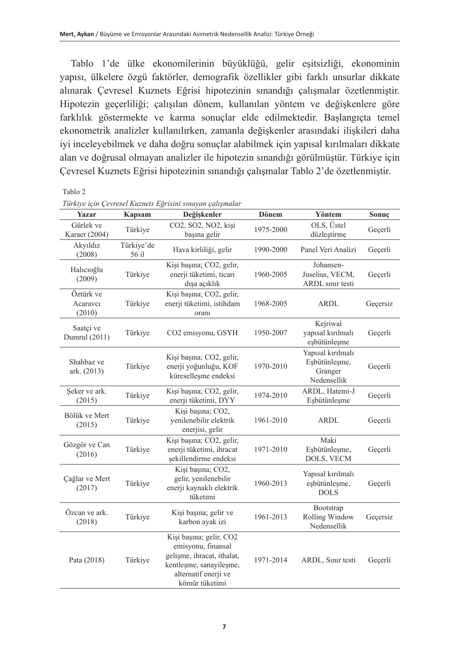Tablo 1'de ülke ekonomilerinin büyüklüğü, gelir eşitsizliği, ekonominin yapısı, ülkelere özgü faktörler, demografik özellikler gibi farklı unsurlar dikkate alınarak Çevresel Kuznets Eğrisi hipotezinin sınandığı çalışmalar özetlenmiştir. Hipotezin geçerliliği; çalışılan dönem, kullanılan yöntem ve değişkenlere göre farklılık göstermekte ve karma sonuçlar elde edilmektedir. Başlangıçta temel ekonometrik analizler kullanılırken, zamanla değişkenler arasındaki ilişkileri daha iyi inceleyebilmek ve daha doğru sonuçlar alabilmek için yapısal kırılmaları dikkate alan ve doğrusal olmayan analizler ile hipotezin sınandığı görülmüştür. Türkiye için Çevresel Kuznets Eğrisi hipotezinin sınandığı çalışmalar Tablo 2'de özetlenmiştir.

| Yazar                           | Kapsam              | Değişkenler                                                                                                                                      | Dönem     | Yöntem                                                       | Sonuç    |
|---------------------------------|---------------------|--------------------------------------------------------------------------------------------------------------------------------------------------|-----------|--------------------------------------------------------------|----------|
| Gürlek ve<br>Karaer (2004)      | Türkiye             | CO2, SO2, NO2, kişi<br>başına gelir                                                                                                              | 1975-2000 | OLS, Üstel<br>düzleştirme                                    | Geçerli  |
| Akyıldız<br>(2008)              | Türkiye'de<br>56 il | Hava kirliliği, gelir                                                                                                                            | 1990-2000 | Panel Veri Analizi                                           | Geçerli  |
| Halicioğlu<br>(2009)            | Türkiye             | Kişi başına; CO2, gelir,<br>enerji tüketimi, ticari<br>dışa açıklık                                                                              | 1960-2005 | Johansen-<br>Juselius, VECM,<br><b>ARDL</b> sinir testi      | Geçerli  |
| Öztürk ve<br>Acaravcı<br>(2010) | Türkiye             | Kişi başına; CO2, gelir,<br>enerji tüketimi, istihdam<br>oranı                                                                                   | 1968-2005 | <b>ARDL</b>                                                  | Geçersiz |
| Saatçi ve<br>Dumrul (2011)      | Türkiye             | CO2 emisyonu, GSYH                                                                                                                               | 1950-2007 | Kejriwal<br>yapısal kırılmalı<br>eşbütünleşme                | Geçerli  |
| Shahbaz ve<br>ark. (2013)       | Türkiye             | Kişi başına; CO2, gelir,<br>enerji yoğunluğu, KOF<br>küreselleşme endeksi                                                                        | 1970-2010 | Yapısal kırılmalı<br>Esbütünleşme,<br>Granger<br>Nedensellik | Geçerli  |
| Seker ve ark.<br>(2015)         | Türkiye             | Kişi başına; CO2, gelir,<br>enerji tüketimi, DYY                                                                                                 | 1974-2010 | ARDL, Hatemi-J<br>Esbütünleşme                               | Geçerli  |
| Bölük ve Mert<br>(2015)         | Türkiye             | Kişi başına; CO2,<br>yenilenebilir elektrik<br>enerjisi, gelir                                                                                   | 1961-2010 | ARDL                                                         | Geçerli  |
| Gözgör ve Can<br>(2016)         | Türkiye             | Kişi başına; CO2, gelir,<br>enerji tüketimi, ihracat<br>şekillendirme endeksi                                                                    | 1971-2010 | Maki<br>Esbütünlesme,<br>DOLS, VECM                          | Geçerli  |
| Çağlar ve Mert<br>(2017)        | Türkiye             | Kisi basına; CO2,<br>gelir, yenilenebilir<br>enerji kaynaklı elektrik<br>tüketimi                                                                | 1960-2013 | Yapısal kırılmalı<br>esbütünlesme,<br><b>DOLS</b>            | Geçerli  |
| Özcan ve ark.<br>(2018)         | Türkiye             | Kişi başına; gelir ve<br>karbon ayak izi                                                                                                         | 1961-2013 | Bootstrap<br>Rolling Window<br>Nedensellik                   | Geçersiz |
| Pata (2018)                     | Türkiye             | Kişi başına; gelir, CO2<br>emisyonu, finansal<br>gelisme, ihracat, ithalat,<br>kentleşme, sanayileşme,<br>alternatif enerji ve<br>kömür tüketimi | 1971-2014 | ARDL, Sınır testi                                            | Geçerli  |

Tablo 2<br>Täyline isin Ca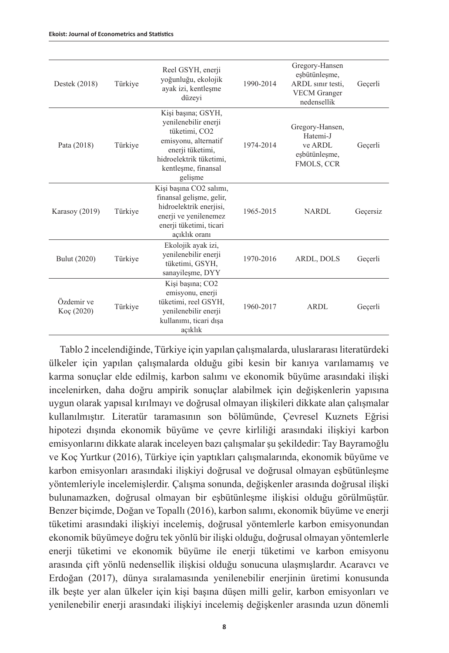| Destek (2018)            | Türkiye | Reel GSYH, enerji<br>yoğunluğu, ekolojik<br>ayak izi, kentleşme<br>düzeyi                                                                                            | 1990-2014 | Gregory-Hansen<br>eşbütünleşme,<br>ARDL sinir testi.<br><b>VECM</b> Granger<br>nedensellik | Gecerli  |
|--------------------------|---------|----------------------------------------------------------------------------------------------------------------------------------------------------------------------|-----------|--------------------------------------------------------------------------------------------|----------|
| Pata (2018)              | Türkiye | Kişi başına; GSYH,<br>yenilenebilir enerji<br>tüketimi, CO2<br>emisyonu, alternatif<br>enerji tüketimi,<br>hidroelektrik tüketimi.<br>kentleşme, finansal<br>gelisme | 1974-2014 | Gregory-Hansen,<br>Hatemi-J<br>ve ARDL<br>eşbütünleşme,<br>FMOLS, CCR                      | Gecerli  |
| Karasoy (2019)           | Türkiye | Kişi başına CO2 salımı,<br>finansal gelişme, gelir,<br>hidroelektrik enerjisi,<br>enerji ve yenilenemez<br>enerji tüketimi, ticari<br>acıklık oranı                  | 1965-2015 | NARDL                                                                                      | Geçersiz |
| Bulut (2020)             | Türkiye | Ekolojik ayak izi,<br>yenilenebilir enerji<br>tüketimi, GSYH,<br>sanayileşme, DYY                                                                                    | 1970-2016 | ARDL, DOLS                                                                                 | Gecerli  |
| Özdemir ve<br>Koç (2020) | Türkiye | Kişi başına; CO2<br>emisyonu, enerji<br>tüketimi, reel GSYH,<br>yenilenebilir enerji<br>kullanımı, ticari dışa<br>açıklık                                            | 1960-2017 | ARDL                                                                                       | Gecerli  |

Tablo 2 incelendiğinde, Türkiye için yapılan çalışmalarda, uluslararası literatürdeki ülkeler için yapılan çalışmalarda olduğu gibi kesin bir kanıya varılamamış ve karma sonuçlar elde edilmiş, karbon salımı ve ekonomik büyüme arasındaki ilişki incelenirken, daha doğru ampirik sonuçlar alabilmek için değişkenlerin yapısına uygun olarak yapısal kırılmayı ve doğrusal olmayan ilişkileri dikkate alan çalışmalar kullanılmıştır. Literatür taramasının son bölümünde, Çevresel Kuznets Eğrisi hipotezi dışında ekonomik büyüme ve çevre kirliliği arasındaki ilişkiyi karbon emisyonlarını dikkate alarak inceleyen bazı çalışmalar şu şekildedir: Tay Bayramoğlu ve Koç Yurtkur (2016), Türkiye için yaptıkları çalışmalarında, ekonomik büyüme ve karbon emisyonları arasındaki ilişkiyi doğrusal ve doğrusal olmayan eşbütünleşme yöntemleriyle incelemişlerdir. Çalışma sonunda, değişkenler arasında doğrusal ilişki bulunamazken, doğrusal olmayan bir eşbütünleşme ilişkisi olduğu görülmüştür. Benzer biçimde, Doğan ve Topallı (2016), karbon salımı, ekonomik büyüme ve enerji tüketimi arasındaki ilişkiyi incelemiş, doğrusal yöntemlerle karbon emisyonundan ekonomik büyümeye doğru tek yönlü bir ilişki olduğu, doğrusal olmayan yöntemlerle enerji tüketimi ve ekonomik büyüme ile enerji tüketimi ve karbon emisyonu arasında çift yönlü nedensellik ilişkisi olduğu sonucuna ulaşmışlardır. Acaravcı ve Erdoğan (2017), dünya sıralamasında yenilenebilir enerjinin üretimi konusunda ilk beşte yer alan ülkeler için kişi başına düşen milli gelir, karbon emisyonları ve yenilenebilir enerji arasındaki ilişkiyi incelemiş değişkenler arasında uzun dönemli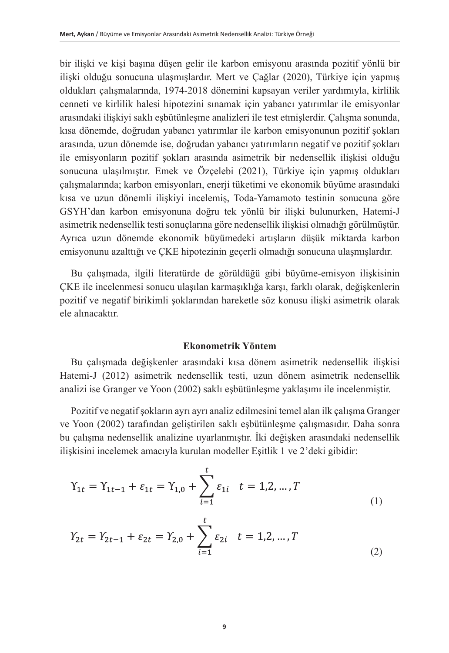bir ilişki ve kişi başına düşen gelir ile karbon emisyonu arasında pozitif yönlü bir ilişki olduğu sonucuna ulaşmışlardır. Mert ve Çağlar (2020), Türkiye için yapmış oldukları çalışmalarında, 1974-2018 dönemini kapsayan veriler yardımıyla, kirlilik cenneti ve kirlilik halesi hipotezini sınamak için yabancı yatırımlar ile emisyonlar arasındaki ilişkiyi saklı eşbütünleşme analizleri ile test etmişlerdir. Çalışma sonunda, kısa dönemde, doğrudan yabancı yatırımlar ile karbon emisyonunun pozitif şokları arasında, uzun dönemde ise, doğrudan yabancı yatırımların negatif ve pozitif şokları ile emisyonların pozitif şokları arasında asimetrik bir nedensellik ilişkisi olduğu sonucuna ulaşılmıştır. Emek ve Özçelebi (2021), Türkiye için yapmış oldukları çalışmalarında; karbon emisyonları, enerji tüketimi ve ekonomik büyüme arasındaki kısa ve uzun dönemli ilişkiyi incelemiş, Toda-Yamamoto testinin sonucuna göre GSYH'dan karbon emisyonuna doğru tek yönlü bir ilişki bulunurken, Hatemi-J asimetrik nedensellik testi sonuçlarına göre nedensellik ilişkisi olmadığı görülmüştür. Ayrıca uzun dönemde ekonomik büyümedeki artışların düşük miktarda karbon emisyonunu azalttığı ve ÇKE hipotezinin geçerli olmadığı sonucuna ulaşmışlardır.

Bu çalışmada, ilgili literatürde de görüldüğü gibi büyüme-emisyon ilişkisinin ÇKE ile incelenmesi sonucu ulaşılan karmaşıklığa karşı, farklı olarak, değişkenlerin pozitif ve negatif birikimli şoklarından hareketle söz konusu ilişki asimetrik olarak ele alınacaktır.

### **Ekonometrik Yöntem**

Bu çalışmada değişkenler arasındaki kısa dönem asimetrik nedensellik ilişkisi Hatemi-J (2012) asimetrik nedensellik testi, uzun dönem asimetrik nedensellik analizi ise Granger ve Yoon (2002) saklı eşbütünleşme yaklaşımı ile incelenmiştir.

Pozitif ve negatif şokların ayrı ayrı analiz edilmesini temel alan ilk çalışma Granger ve Yoon (2002) tarafından geliştirilen saklı eşbütünleşme çalışmasıdır. Daha sonra bu çalışma nedensellik analizine uyarlanmıştır. İki değişken arasındaki nedensellik ilişkisini incelemek amacıyla kurulan modeller Eşitlik 1 ve 2'deki gibidir:

$$
Y_{1t} = Y_{1t-1} + \varepsilon_{1t} = Y_{1,0} + \sum_{i=1}^{t} \varepsilon_{1i} \quad t = 1,2,...,T
$$
\n(1)

$$
Y_{2t} = Y_{2t-1} + \varepsilon_{2t} = Y_{2,0} + \sum_{i=1}^{t} \varepsilon_{2i} \quad t = 1,2,...,T
$$
\n(2)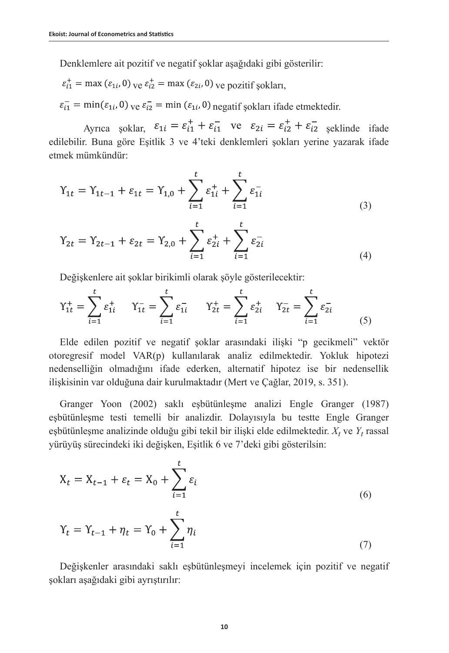Denklemlere ait pozitif ve negatif şoklar aşağıdaki gibi gösterilir:

$$
\varepsilon_{i1}^+ = \max(\varepsilon_{1i}, 0)_{\text{ve}} \varepsilon_{i2}^+ = \max(\varepsilon_{2i}, 0)_{\text{ve}} \varepsilon_{\text{pozitif}} \varepsilon_{\text{solar},}
$$

 $\varepsilon_{i1}$  = min $(\varepsilon_{1i}, 0)$  ve  $\varepsilon_{i2}$  = min  $(\varepsilon_{1i}, 0)$  negatif sokları ifade etmektedir.

Ayrıca soklar,  $\varepsilon_{1i} = \varepsilon_{i1}^+ + \varepsilon_{i1}^-$  ve  $\varepsilon_{2i} = \varepsilon_{i2}^+ + \varepsilon_{i2}^-$  seklinde ifade edilebilir. Buna göre Eşitlik 3 ve 4'teki denklemleri şokları yerine yazarak ifade etmek mümkündür:

$$
Y_{1t} = Y_{1t-1} + \varepsilon_{1t} = Y_{1,0} + \sum_{i=1}^{t} \varepsilon_{1i}^{+} + \sum_{i=1}^{t} \varepsilon_{1i}^{-} \tag{3}
$$

$$
Y_{2t} = Y_{2t-1} + \varepsilon_{2t} = Y_{2,0} + \sum_{i=1}^{t} \varepsilon_{2i}^{+} + \sum_{i=1}^{t} \varepsilon_{2i}^{-} \tag{4}
$$

Değişkenlere ait şoklar birikimli olarak şöyle gösterilecektir:

$$
Y_{1t}^{+} = \sum_{i=1}^{t} \varepsilon_{1i}^{+} \qquad Y_{1t}^{-} = \sum_{i=1}^{t} \varepsilon_{1i}^{-} \qquad Y_{2t}^{+} = \sum_{i=1}^{t} \varepsilon_{2i}^{+} \qquad Y_{2t}^{-} = \sum_{i=1}^{t} \varepsilon_{2i}^{-} \tag{5}
$$

Elde edilen pozitif ve negatif şoklar arasındaki ilişki "p gecikmeli" vektör otoregresif model VAR(p) kullanılarak analiz edilmektedir. Yokluk hipotezi nedenselliğin olmadığını ifade ederken, alternatif hipotez ise bir nedensellik ilişkisinin var olduğuna dair kurulmaktadır (Mert ve Çağlar, 2019, s. 351).

Granger Yoon (2002) saklı eşbütünleşme analizi Engle Granger (1987) eşbütünleşme testi temelli bir analizdir. Dolayısıyla bu testte Engle Granger eşbütünleşme analizinde olduğu gibi tekil bir ilişki elde edilmektedir. *X<sup>t</sup>* ve *Y<sup>t</sup>* rassal yürüyüş sürecindeki iki değişken, Eşitlik 6 ve 7'deki gibi gösterilsin:

$$
X_t = X_{t-1} + \varepsilon_t = X_0 + \sum_{i=1}^t \varepsilon_i
$$
\n
$$
(6)
$$

$$
Y_t = Y_{t-1} + \eta_t = Y_0 + \sum_{i=1}^{\infty} \eta_i
$$
\n(7)

Değişkenler arasındaki saklı eşbütünleşmeyi incelemek için pozitif ve negatif şokları aşağıdaki gibi ayrıştırılır: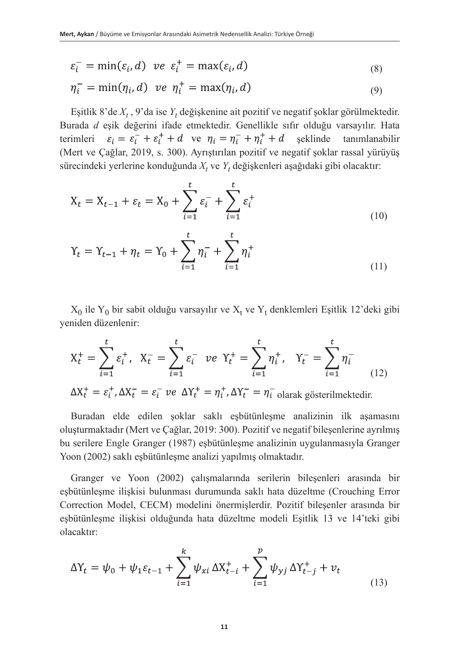$$
\varepsilon_i^- = \min(\varepsilon_i, d) \quad \text{ve} \quad \varepsilon_i^+ = \max(\varepsilon_i, d) \tag{8}
$$

$$
\eta_i^- = \min(\eta_i, d) \quad \text{ve} \quad \eta_i^+ = \max(\eta_i, d) \tag{9}
$$

Eşitlik 8'de *X<sup>t</sup>* , 9'da ise *Y<sup>t</sup>* değişkenine ait pozitif ve negatif şoklar görülmektedir. Burada *d* eşik değerini ifade etmektedir. Genellikle sıfır olduğu varsayılır. Hata terimleri  $\varepsilon_i = \varepsilon_i^- + \varepsilon_i^+ + d$  ve  $\eta_i = \eta_i^- + \eta_i^+ + d$  șeklinde tanımlanabilir (Mert ve Çağlar, 2019, s. 300). Ayrıştırılan pozitif ve negatif şoklar rassal yürüyüş sürecindeki yerlerine konduğunda  $X_t$  ve  $Y_t$  değişkenleri aşağıdaki gibi olacaktır:

$$
X_{t} = X_{t-1} + \varepsilon_{t} = X_{0} + \sum_{i=1}^{t} \varepsilon_{i}^{-} + \sum_{i=1}^{t} \varepsilon_{i}^{+}
$$
\n(10)

$$
Y_t = Y_{t-1} + \eta_t = Y_0 + \sum_{i=1}^t \eta_i^- + \sum_{i=1}^t \eta_i^+ \tag{11}
$$

 $X_0$  ile  $Y_0$  bir sabit olduğu varsayılır ve  $X_t$  ve  $Y_t$  denklemleri Eşitlik 12'deki gibi yeniden düzenlenir:

$$
X_t^+ = \sum_{i=1}^t \varepsilon_i^+, \quad X_t^- = \sum_{i=1}^t \varepsilon_i^- \quad \text{ve} \quad Y_t^+ = \sum_{i=1}^t \eta_i^+, \quad Y_t^- = \sum_{i=1}^t \eta_i^-
$$
  

$$
\Delta X_t^+ = \varepsilon_i^+, \Delta X_t^- = \varepsilon_i^- \text{ve } \Delta Y_t^+ = \eta_i^+, \Delta Y_t^- = \eta_i^- \text{olarak gösterilmektedir.}
$$
 (12)

Buradan elde edilen şoklar saklı eşbütünleşme analizinin ilk aşamasını oluşturmaktadır (Mert ve Çağlar, 2019: 300). Pozitif ve negatif bileşenlerine ayrılmış bu serilere Engle Granger (1987) eşbütünleşme analizinin uygulanmasıyla Granger Yoon (2002) saklı eşbütünleşme analizi yapılmış olmaktadır.

Granger ve Yoon (2002) çalışmalarında serilerin bileşenleri arasında bir eşbütünleşme ilişkisi bulunması durumunda saklı hata düzeltme (Crouching Error Correction Model, CECM) modelini önermişlerdir. Pozitif bileşenler arasında bir eşbütünleşme ilişkisi olduğunda hata düzeltme modeli Eşitlik 13 ve 14'teki gibi olacaktır:

$$
\Delta Y_t = \psi_0 + \psi_1 \varepsilon_{t-1} + \sum_{i=1}^k \psi_{xi} \, \Delta X_{t-i}^+ + \sum_{i=1}^p \psi_{yj} \, \Delta Y_{t-j}^+ + v_t \tag{13}
$$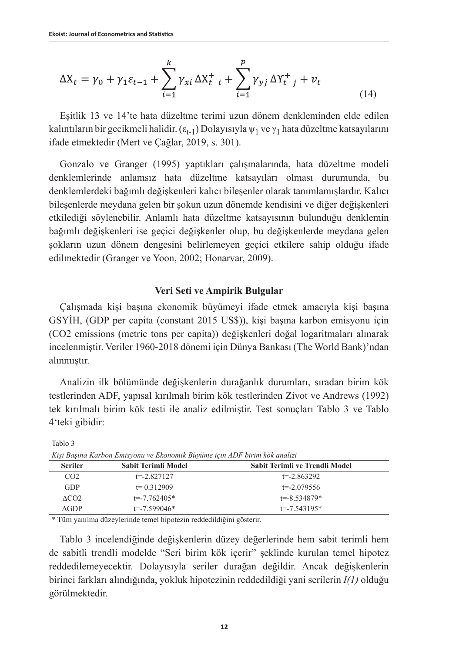$$
\Delta X_t = \gamma_0 + \gamma_1 \varepsilon_{t-1} + \sum_{i=1}^k \gamma_{xi} \, \Delta X_{t-i}^+ + \sum_{i=1}^p \gamma_{yj} \, \Delta Y_{t-j}^+ + v_t \tag{14}
$$

Eşitlik 13 ve 14'te hata düzeltme terimi uzun dönem denkleminden elde edilen kalıntıların bir gecikmeli halidir.  $(\epsilon_{t-1})$  Dolayısıyla  $\psi_1$  ve  $\gamma_1$  hata düzeltme katsayılarını ifade etmektedir (Mert ve Çağlar, 2019, s. 301).

Gonzalo ve Granger (1995) yaptıkları çalışmalarında, hata düzeltme modeli denklemlerinde anlamsız hata düzeltme katsayıları olması durumunda, bu denklemlerdeki bağımlı değişkenleri kalıcı bileşenler olarak tanımlamışlardır. Kalıcı bileşenlerde meydana gelen bir şokun uzun dönemde kendisini ve diğer değişkenleri etkilediği söylenebilir. Anlamlı hata düzeltme katsayısının bulunduğu denklemin bağımlı değişkenleri ise geçici değişkenler olup, bu değişkenlerde meydana gelen şokların uzun dönem dengesini belirlemeyen geçici etkilere sahip olduğu ifade edilmektedir (Granger ve Yoon, 2002; Honarvar, 2009).

## **Veri Seti ve Ampirik Bulgular**

Çalışmada kişi başına ekonomik büyümeyi ifade etmek amacıyla kişi başına GSYİH, (GDP per capita (constant 2015 US\$)), kişi başına karbon emisyonu için (CO2 emissions (metric tons per capita)) değişkenleri doğal logaritmaları alınarak incelenmiştir. Veriler 1960-2018 dönemi için Dünya Bankası (The World Bank)'ndan alınmıştır.

Analizin ilk bölümünde değişkenlerin durağanlık durumları, sıradan birim kök testlerinden ADF, yapısal kırılmalı birim kök testlerinden Zivot ve Andrews (1992) tek kırılmalı birim kök testi ile analiz edilmiştir. Test sonuçları Tablo 3 ve Tablo 4'teki gibidir:

| Kişi Başına Karbon Emisyonu ve Ekonomik Büyüme için ADF birim kök analizi |                     |                                |  |
|---------------------------------------------------------------------------|---------------------|--------------------------------|--|
| <b>Seriler</b>                                                            | Sabit Terimli Model | Sabit Terimli ve Trendli Model |  |
| CO <sub>2</sub>                                                           | $t = -2.827127$     | $t = -2.863292$                |  |
| GDP                                                                       | $t = 0.312909$      | $t = -2.079556$                |  |
| ACO2                                                                      | $t = -7.762405*$    | $t = -8.534879*$               |  |
| AGDP                                                                      | $t = -7.599046*$    | $t = -7.543195*$               |  |

Tablo 3

\* Tüm yanılma düzeylerinde temel hipotezin reddedildiğini gösterir.

Tablo 3 incelendiğinde değişkenlerin düzey değerlerinde hem sabit terimli hem de sabitli trendli modelde "Seri birim kök içerir" şeklinde kurulan temel hipotez reddedilemeyecektir. Dolayısıyla seriler durağan değildir. Ancak değişkenlerin birinci farkları alındığında, yokluk hipotezinin reddedildiği yani serilerin *I(1)* olduğu görülmektedir.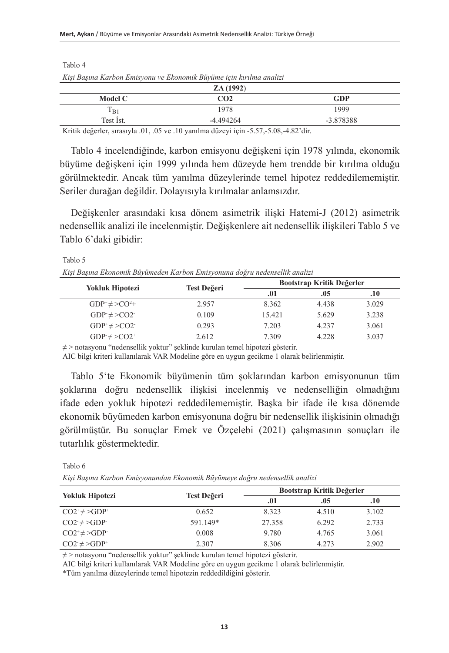|           | ZA(1992)        |           |
|-----------|-----------------|-----------|
| Model C   | CO <sub>2</sub> | GDP       |
| $1_{B1}$  | 1978            | 1999      |
| Test Ist. | $-4.494264$     | -3.878388 |

*Kişi Başına Karbon Emisyonu ve Ekonomik Büyüme için kırılma analizi*

Tablo 4

Tablo 6

Kritik değerler, sırasıyla .01, .05 ve .10 yanılma düzeyi için -5.57,-5.08,-4.82'dir.

Tablo 4 incelendiğinde, karbon emisyonu değişkeni için 1978 yılında, ekonomik büyüme değişkeni için 1999 yılında hem düzeyde hem trendde bir kırılma olduğu görülmektedir. Ancak tüm yanılma düzeylerinde temel hipotez reddedilememiştir. Seriler durağan değildir. Dolayısıyla kırılmalar anlamsızdır.

Değişkenler arasındaki kısa dönem asimetrik ilişki Hatemi-J (2012) asimetrik nedensellik analizi ile incelenmiştir. Değişkenlere ait nedensellik ilişkileri Tablo 5 ve Tablo 6'daki gibidir:

Tablo 5 *Kişi Başına Ekonomik Büyümeden Karbon Emisyonuna doğru nedensellik analizi*

| <b>Yokluk Hipotezi</b> | Test Değeri | Bootstrap Kritik Değerler |       |       |
|------------------------|-------------|---------------------------|-------|-------|
|                        |             | .01<br>.05                |       | .10   |
| $GDP^+\neq > CO^2+$    | 2.957       | 8.362                     | 4.438 | 3.029 |
| $GDP \neq CO2$         | 0.109       | 15.421                    | 5.629 | 3.238 |
| $GDP^* \neq >CO2^-$    | 0.293       | 7.203                     | 4.237 | 3.061 |
| $GDP \neq CO2^+$       | 2.612       | 7.309                     | 4.228 | 3.037 |
|                        |             |                           |       |       |

≠ > notasyonu "nedensellik yoktur" şeklinde kurulan temel hipotezi gösterir.

AIC bilgi kriteri kullanılarak VAR Modeline göre en uygun gecikme 1 olarak belirlenmiştir.

Tablo 5'te Ekonomik büyümenin tüm şoklarından karbon emisyonunun tüm şoklarına doğru nedensellik ilişkisi incelenmiş ve nedenselliğin olmadığını ifade eden yokluk hipotezi reddedilememiştir. Başka bir ifade ile kısa dönemde ekonomik büyümeden karbon emisyonuna doğru bir nedensellik ilişkisinin olmadığı görülmüştür. Bu sonuçlar Emek ve Özçelebi (2021) çalışmasının sonuçları ile tutarlılık göstermektedir.

*Kişi Başına Karbon Emisyonundan Ekonomik Büyümeye doğru nedensellik analizi*

|                        |             | Bootstrap Kritik Değerler |       |       |
|------------------------|-------------|---------------------------|-------|-------|
| <b>Yokluk Hipotezi</b> | Test Değeri | .01<br>.05                |       | .10   |
| $CO2^+\neq\geq GDP^+$  | 0.652       | 8.323                     | 4.510 | 3.102 |
| $CO2 \neq ODP$         | 591.149*    | 27.358                    | 6.292 | 2.733 |
| $CO2^+\neq$ >GDP       | 0.008       | 9.780                     | 4.765 | 3.061 |
| $CO2 \neq O2P^+$       | 2.307       | 8.306                     | 4.273 | 2.902 |

≠ > notasyonu "nedensellik yoktur" şeklinde kurulan temel hipotezi gösterir.

AIC bilgi kriteri kullanılarak VAR Modeline göre en uygun gecikme 1 olarak belirlenmiştir.

\*Tüm yanılma düzeylerinde temel hipotezin reddedildiğini gösterir.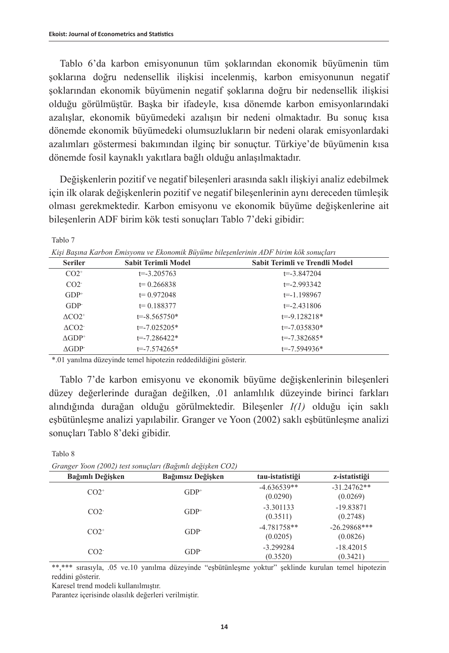Tablo 7

Tablo 8

Tablo 6'da karbon emisyonunun tüm şoklarından ekonomik büyümenin tüm şoklarına doğru nedensellik ilişkisi incelenmiş, karbon emisyonunun negatif şoklarından ekonomik büyümenin negatif şoklarına doğru bir nedensellik ilişkisi olduğu görülmüştür. Başka bir ifadeyle, kısa dönemde karbon emisyonlarındaki azalışlar, ekonomik büyümedeki azalışın bir nedeni olmaktadır. Bu sonuç kısa dönemde ekonomik büyümedeki olumsuzlukların bir nedeni olarak emisyonlardaki azalımları göstermesi bakımından ilginç bir sonuçtur. Türkiye'de büyümenin kısa dönemde fosil kaynaklı yakıtlara bağlı olduğu anlaşılmaktadır.

Değişkenlerin pozitif ve negatif bileşenleri arasında saklı ilişkiyi analiz edebilmek için ilk olarak değişkenlerin pozitif ve negatif bileşenlerinin aynı dereceden tümleşik olması gerekmektedir. Karbon emisyonu ve ekonomik büyüme değişkenlerine ait bileşenlerin ADF birim kök testi sonuçları Tablo 7'deki gibidir:

| Kişi Başına Karbon Emisyonu ve Ekonomik Büyüme bileşenlerinin ADF birim kök sonuçları |                            |                                |  |  |
|---------------------------------------------------------------------------------------|----------------------------|--------------------------------|--|--|
| <b>Seriler</b>                                                                        | <b>Sabit Terimli Model</b> | Sabit Terimli ve Trendli Model |  |  |
| $CO2^+$                                                                               | $t = -3.205763$            | $t = -3.847204$                |  |  |
| CO2                                                                                   | $t = 0.266838$             | $t = -2.993342$                |  |  |
| $GDP+$                                                                                | $t = 0.972048$             | $t = -1.198967$                |  |  |
| GDP                                                                                   | $t = 0.188377$             | $t = -2.431806$                |  |  |
| $\Lambda$ CO2 <sup>+</sup>                                                            | $t = -8.565750*$           | $t = -9.128218*$               |  |  |
| $\triangle CO2^-$                                                                     | $t = -7.025205*$           | $t = -7.035830*$               |  |  |
| $AGDP^+$                                                                              | $t = -7.286422*$           | $t = -7.382685*$               |  |  |
| AGDP                                                                                  | $t = -7.574265*$           | $t = -7.594936*$               |  |  |

*Kişi Başına Karbon Emisyonu ve Ekonomik Büyüme bileşenlerinin ADF birim kök sonuçları*

\*.01 yanılma düzeyinde temel hipotezin reddedildiğini gösterir.

Tablo 7'de karbon emisyonu ve ekonomik büyüme değişkenlerinin bileşenleri düzey değerlerinde durağan değilken, .01 anlamlılık düzeyinde birinci farkları alındığında durağan olduğu görülmektedir. Bileşenler *I(1)* olduğu için saklı eşbütünleşme analizi yapılabilir. Granger ve Yoon (2002) saklı eşbütünleşme analizi sonuçları Tablo 8'deki gibidir.

| Granger Yoon (2002) test sonuçları (Bağımlı değişken CO2) |                   |                           |                            |  |  |
|-----------------------------------------------------------|-------------------|---------------------------|----------------------------|--|--|
| Bağımlı Değişken                                          | Bağımsız Değişken | tau-istatistiği           | z-istatistiği              |  |  |
| $CO2^+$                                                   | $GDP+$            | $-4.636539**$<br>(0.0290) | $-31.24762**$<br>(0.0269)  |  |  |
| CO2                                                       | $GDP+$            | $-3.301133$<br>(0.3511)   | $-19.83871$<br>(0.2748)    |  |  |
| $CO2^+$                                                   | GDP               | $-4.781758**$<br>(0.0205) | $-26.29868***$<br>(0.0826) |  |  |
| CO2                                                       | GDP               | $-3.299284$<br>(0.3520)   | $-18.42015$<br>(0.3421)    |  |  |

*Granger Yoon (2002) test sonuçları (Bağımlı değişken CO2)*

\*\*,\*\*\* sırasıyla, .05 ve.10 yanılma düzeyinde "eşbütünleşme yoktur" şeklinde kurulan temel hipotezin reddini gösterir.

Karesel trend modeli kullanılmıştır.

Parantez içerisinde olasılık değerleri verilmiştir.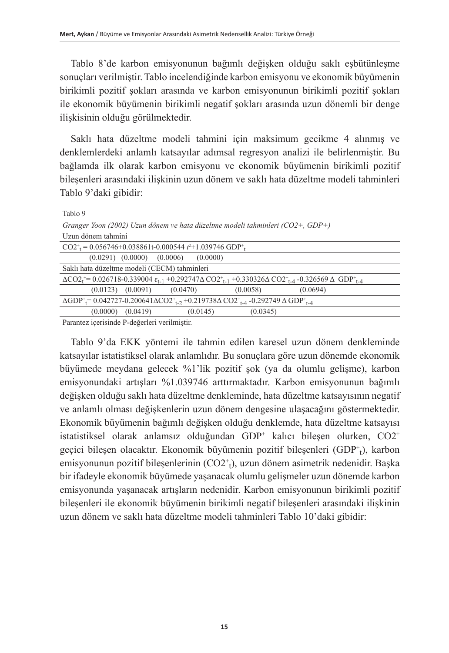Tablo 8'de karbon emisyonunun bağımlı değişken olduğu saklı eşbütünleşme sonuçları verilmiştir. Tablo incelendiğinde karbon emisyonu ve ekonomik büyümenin birikimli pozitif şokları arasında ve karbon emisyonunun birikimli pozitif şokları ile ekonomik büyümenin birikimli negatif şokları arasında uzun dönemli bir denge ilişkisinin olduğu görülmektedir.

Saklı hata düzeltme modeli tahmini için maksimum gecikme 4 alınmış ve denklemlerdeki anlamlı katsayılar adımsal regresyon analizi ile belirlenmiştir. Bu bağlamda ilk olarak karbon emisyonu ve ekonomik büyümenin birikimli pozitif bileşenleri arasındaki ilişkinin uzun dönem ve saklı hata düzeltme modeli tahminleri Tablo 9'daki gibidir:

Tablo 9

| Granger Yoon (2002) Uzun dönem ve hata düzeltme modeli tahminleri (CO2+, GDP+)                                                                                                                                                                                                           |  |
|------------------------------------------------------------------------------------------------------------------------------------------------------------------------------------------------------------------------------------------------------------------------------------------|--|
| Uzun dönem tahmini                                                                                                                                                                                                                                                                       |  |
| $CO2^+$ = 0.056746+0.038861t-0.000544 t <sup>2</sup> +1.039746 GDP <sup>+</sup> <sub>t</sub>                                                                                                                                                                                             |  |
| $(0.0291)$ $(0.0000)$ $(0.0006)$ $(0.0000)$                                                                                                                                                                                                                                              |  |
| Saklı hata düzeltme modeli (CECM) tahminleri                                                                                                                                                                                                                                             |  |
| $\Delta CO2_{t}^{+} = 0.026718 - 0.339004 \epsilon_{t-1} + 0.292747 \Delta CO2_{t-1}^{+} + 0.330326 \Delta CO2_{t-4}^{+} - 0.326569 \Delta GDP_{t-4}^{+}$                                                                                                                                |  |
| $(0.0123)$ $(0.0091)$ $(0.0470)$<br>(0.0058)<br>(0.0694)                                                                                                                                                                                                                                 |  |
| $\Delta$ GDP <sup>+</sup> $= 0.042727 - 0.200641 \Delta CO2$ <sup>+</sup> <sub>1-2</sub> +0.219738 $\Delta$ CO2 <sup>+</sup> <sub>1-4</sub> -0.292749 $\Delta$ GDP <sup>+</sup> <sub>1-4</sub>                                                                                           |  |
| (0.0000)<br>(0.0145)<br>(0.0345)<br>(0.0419)                                                                                                                                                                                                                                             |  |
| $\mathbf{D}$ . The set of a set of a state $\mathbf{D}$ and $\mathbf{D}$ and $\mathbf{D}$ and $\mathbf{D}$ and $\mathbf{D}$ and $\mathbf{D}$ and $\mathbf{D}$ and $\mathbf{D}$ and $\mathbf{D}$ and $\mathbf{D}$ and $\mathbf{D}$ and $\mathbf{D}$ and $\mathbf{D}$ and $\mathbf{D}$ and |  |

Parantez içerisinde P-değerleri verilmiştir.

Tablo 9'da EKK yöntemi ile tahmin edilen karesel uzun dönem denkleminde katsayılar istatistiksel olarak anlamlıdır. Bu sonuçlara göre uzun dönemde ekonomik büyümede meydana gelecek %1'lik pozitif şok (ya da olumlu gelişme), karbon emisyonundaki artışları %1.039746 arttırmaktadır. Karbon emisyonunun bağımlı değişken olduğu saklı hata düzeltme denkleminde, hata düzeltme katsayısının negatif ve anlamlı olması değişkenlerin uzun dönem dengesine ulaşacağını göstermektedir. Ekonomik büyümenin bağımlı değişken olduğu denklemde, hata düzeltme katsayısı istatistiksel olarak anlamsız olduğundan GDP<sup>+</sup> kalıcı bileşen olurken, CO2<sup>+</sup> geçici bileşen olacaktır. Ekonomik büyümenin pozitif bileşenleri (GDP+1), karbon emisyonunun pozitif bileşenlerinin (CO2<sup>+</sup> t ), uzun dönem asimetrik nedenidir. Başka bir ifadeyle ekonomik büyümede yaşanacak olumlu gelişmeler uzun dönemde karbon emisyonunda yaşanacak artışların nedenidir. Karbon emisyonunun birikimli pozitif bileşenleri ile ekonomik büyümenin birikimli negatif bileşenleri arasındaki ilişkinin uzun dönem ve saklı hata düzeltme modeli tahminleri Tablo 10'daki gibidir: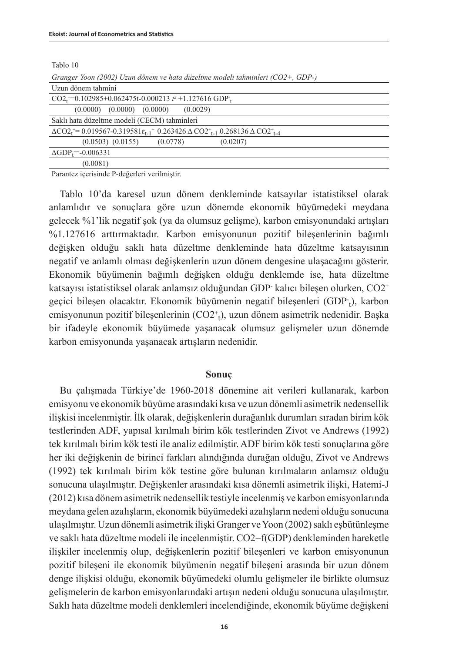Tablo 10

|  | Granger Yoon (2002) Uzun dönem ve hata düzeltme modeli tahminleri (CO2+, GDP-) |  |
|--|--------------------------------------------------------------------------------|--|
|  |                                                                                |  |

| Uzun dönem tahmini                                                                                                       |  |
|--------------------------------------------------------------------------------------------------------------------------|--|
| $CO2_{t}^{+}=0.102985+0.062475t-0.000213 t^{2}+1.127616 GDP_{t}$                                                         |  |
| $(0.0000)$ $(0.0000)$ $(0.0000)$<br>(0.0029)                                                                             |  |
| Saklı hata düzeltme modeli (CECM) tahminleri                                                                             |  |
| $\Delta CO2_{t}^{+}=0.019567-0.319581\epsilon_{t-1}^{+}$ 0.263426 $\Delta CO2_{t-1}^{+}$ 0.268136 $\Delta CO2_{t-4}^{+}$ |  |
| $(0.0503)$ $(0.0155)$<br>(0.0778)<br>(0.0207)                                                                            |  |
| $\triangle$ GDP <sub>t</sub> =-0.006331                                                                                  |  |
| (0.0081)                                                                                                                 |  |

Parantez içerisinde P-değerleri verilmiştir.

Tablo 10'da karesel uzun dönem denkleminde katsayılar istatistiksel olarak anlamlıdır ve sonuçlara göre uzun dönemde ekonomik büyümedeki meydana gelecek %1'lik negatif şok (ya da olumsuz gelişme), karbon emisyonundaki artışları %1.127616 arttırmaktadır. Karbon emisyonunun pozitif bileşenlerinin bağımlı değişken olduğu saklı hata düzeltme denkleminde hata düzeltme katsayısının negatif ve anlamlı olması değişkenlerin uzun dönem dengesine ulaşacağını gösterir. Ekonomik büyümenin bağımlı değişken olduğu denklemde ise, hata düzeltme katsayısı istatistiksel olarak anlamsız olduğundan GDP- kalıcı bileşen olurken, CO2<sup>+</sup> geçici bileşen olacaktır. Ekonomik büyümenin negatif bileşenleri (GDP·<sub>t</sub>), karbon emisyonunun pozitif bileşenlerinin (CO2<sup>+</sup> t ), uzun dönem asimetrik nedenidir. Başka bir ifadeyle ekonomik büyümede yaşanacak olumsuz gelişmeler uzun dönemde karbon emisyonunda yaşanacak artışların nedenidir.

### **Sonuç**

Bu çalışmada Türkiye'de 1960-2018 dönemine ait verileri kullanarak, karbon emisyonu ve ekonomik büyüme arasındaki kısa ve uzun dönemli asimetrik nedensellik ilişkisi incelenmiştir. İlk olarak, değişkenlerin durağanlık durumları sıradan birim kök testlerinden ADF, yapısal kırılmalı birim kök testlerinden Zivot ve Andrews (1992) tek kırılmalı birim kök testi ile analiz edilmiştir. ADF birim kök testi sonuçlarına göre her iki değişkenin de birinci farkları alındığında durağan olduğu, Zivot ve Andrews (1992) tek kırılmalı birim kök testine göre bulunan kırılmaların anlamsız olduğu sonucuna ulaşılmıştır. Değişkenler arasındaki kısa dönemli asimetrik ilişki, Hatemi-J (2012) kısa dönem asimetrik nedensellik testiyle incelenmiş ve karbon emisyonlarında meydana gelen azalışların, ekonomik büyümedeki azalışların nedeni olduğu sonucuna ulaşılmıştır. Uzun dönemli asimetrik ilişki Granger ve Yoon (2002) saklı eşbütünleşme ve saklı hata düzeltme modeli ile incelenmiştir. CO2=f(GDP) denkleminden hareketle ilişkiler incelenmiş olup, değişkenlerin pozitif bileşenleri ve karbon emisyonunun pozitif bileşeni ile ekonomik büyümenin negatif bileşeni arasında bir uzun dönem denge ilişkisi olduğu, ekonomik büyümedeki olumlu gelişmeler ile birlikte olumsuz gelişmelerin de karbon emisyonlarındaki artışın nedeni olduğu sonucuna ulaşılmıştır. Saklı hata düzeltme modeli denklemleri incelendiğinde, ekonomik büyüme değişkeni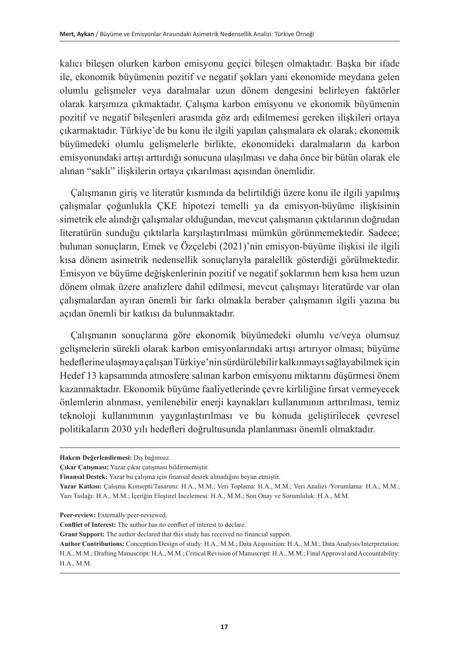kalıcı bileşen olurken karbon emisyonu geçici bileşen olmaktadır. Başka bir ifade ile, ekonomik büyümenin pozitif ve negatif şokları yani ekonomide meydana gelen olumlu gelişmeler veya daralmalar uzun dönem dengesini belirleyen faktörler olarak karşımıza çıkmaktadır. Çalışma karbon emisyonu ve ekonomik büyümenin pozitif ve negatif bileşenleri arasında göz ardı edilmemesi gereken ilişkileri ortaya çıkarmaktadır. Türkiye'de bu konu ile ilgili yapılan çalışmalara ek olarak; ekonomik büyümedeki olumlu gelişmelerle birlikte, ekonomideki daralmaların da karbon emisyonundaki artışı arttırdığı sonucuna ulaşılması ve daha önce bir bütün olarak ele alınan "saklı" ilişkilerin ortaya çıkarılması açısından önemlidir.

Çalışmanın giriş ve literatür kısmında da belirtildiği üzere konu ile ilgili yapılmış çalışmalar çoğunlukla ÇKE hipotezi temelli ya da emisyon-büyüme ilişkisinin simetrik ele alındığı çalışmalar olduğundan, mevcut çalışmanın çıktılarının doğrudan literatürün sunduğu çıktılarla karşılaştırılması mümkün görünmemektedir. Sadece; bulunan sonuçların, Emek ve Özçelebi (2021)'nin emisyon-büyüme ilişkisi ile ilgili kısa dönem asimetrik nedensellik sonuçlarıyla paralellik gösterdiği görülmektedir. Emisyon ve büyüme değişkenlerinin pozitif ve negatif şoklarının hem kısa hem uzun dönem olmak üzere analizlere dahil edilmesi, mevcut çalışmayı literatürde var olan çalışmalardan ayıran önemli bir farkı olmakla beraber çalışmanın ilgili yazına bu açıdan önemli bir katkısı da bulunmaktadır.

Çalışmanın sonuçlarına göre ekonomik büyümedeki olumlu ve/veya olumsuz gelişmelerin sürekli olarak karbon emisyonlarındaki artışı artırıyor olması; büyüme hedeflerine ulaşmaya çalışan Türkiye'nin sürdürülebilir kalkınmayı sağlayabilmek için Hedef 13 kapsamında atmosfere salınan karbon emisyonu miktarını düşürmesi önem kazanmaktadır. Ekonomik büyüme faaliyetlerinde çevre kirliliğine fırsat vermeyecek önlemlerin alınması, yenilenebilir enerji kaynakları kullanımının arttırılması, temiz teknoloji kullanımının yaygınlaştırılması ve bu konuda geliştirilecek çevresel politikaların 2030 yılı hedefleri doğrultusunda planlanması önemli olmaktadır.

**Hakem Değerlendirmesi:** Dış bağımsız.

**Çıkar Çatışması:** Yazar çıkar çatışması bildirmemiştir.

**Finansal Destek:** Yazar bu çalışma için finansal destek almadığını beyan etmiştir.

**Yazar Katkısı:** Çalışma Konsepti/Tasarımı: H.A., M.M.; Veri Toplama: H.A., M.M.; Veri Analizi /Yorumlama: H.A., M.M.; Yazı Taslağı: H.A., M.M.; İçeriğin Eleştirel İncelemesi: H.A., M.M.; Son Onay ve Sorumluluk: H.A., M.M.

**Peer-review:** Externally peer-reviewed.

**Conflict of Interest:** The author has no conflict of interest to declare.

**Grant Support:** The author declared that this study has received no financial support.

**Author Contributions:** Conception/Design of study: H.A., M.M.; Data Acquisition: H.A., M.M.; Data Analysis/Interpretation: H.A., M.M.; Drafting Manuscript: H.A., M.M.; Critical Revision of Manuscript: H.A., M.M.; Final Approval and Accountability: H.A., M.M.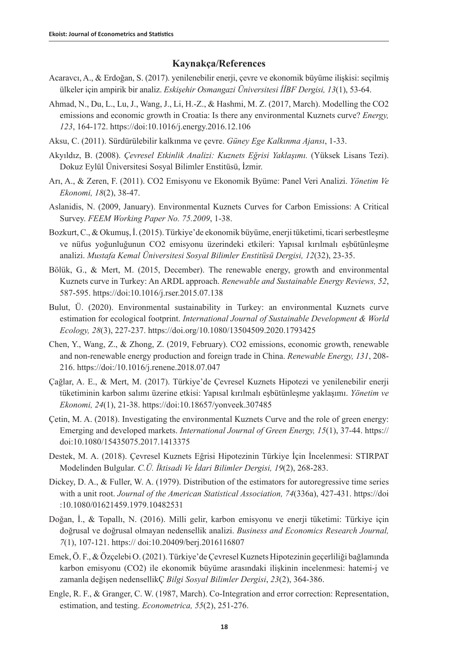## **Kaynakça/References**

- Acaravcı, A., & Erdoğan, S. (2017). yenilenebilir enerji, çevre ve ekonomik büyüme ilişkisi: seçilmiş ülkeler için ampirik bir analiz. *Eskişehir Osmangazi Üniversitesi İİBF Dergisi, 13*(1), 53-64.
- Ahmad, N., Du, L., Lu, J., Wang, J., Li, H.-Z., & Hashmi, M. Z. (2017, March). Modelling the CO2 emissions and economic growth in Croatia: Is there any environmental Kuznets curve? *Energy, 123*, 164-172. https://doi:10.1016/j.energy.2016.12.106
- Aksu, C. (2011). Sürdürülebilir kalkınma ve çevre. *Güney Ege Kalkınma Ajansı*, 1-33.
- Akyıldız, B. (2008). *Çevresel Etkinlik Analizi: Kuznets Eğrisi Yaklaşımı.* (Yüksek Lisans Tezi). Dokuz Eylül Üniversitesi Sosyal Bilimler Enstitüsü, İzmir.
- Arı, A., & Zeren, F. (2011). CO2 Emisyonu ve Ekonomik Byüme: Panel Veri Analizi. *Yönetim Ve Ekonomi, 18*(2), 38-47.
- Aslanidis, N. (2009, January). Environmental Kuznets Curves for Carbon Emissions: A Critical Survey. *FEEM Working Paper No. 75.2009*, 1-38.
- Bozkurt, C., & Okumuş, İ. (2015). Türkiye'de ekonomik büyüme, enerji tüketimi, ticari serbestleşme ve nüfus yoğunluğunun CO2 emisyonu üzerindeki etkileri: Yapısal kırılmalı eşbütünleşme analizi. *Mustafa Kemal Üniversitesi Sosyal Bilimler Enstitüsü Dergisi, 12*(32), 23-35.
- Bölük, G., & Mert, M. (2015, December). The renewable energy, growth and environmental Kuznets curve in Turkey: An ARDL approach. *Renewable and Sustainable Energy Reviews, 52*, 587-595. https://doi:10.1016/j.rser.2015.07.138
- Bulut, Ü. (2020). Environmental sustainability in Turkey: an environmental Kuznets curve estimation for ecological footprint. *International Journal of Sustainable Development & World Ecology, 28*(3), 227-237. https://doi.org/10.1080/13504509.2020.1793425
- Chen, Y., Wang, Z., & Zhong, Z. (2019, February). CO2 emissions, economic growth, renewable and non-renewable energy production and foreign trade in China. *Renewable Energy, 131*, 208- 216. https://doi:/10.1016/j.renene.2018.07.047
- Çağlar, A. E., & Mert, M. (2017). Türkiye'de Çevresel Kuznets Hipotezi ve yenilenebilir enerji tüketiminin karbon salımı üzerine etkisi: Yapısal kırılmalı eşbütünleşme yaklaşımı. *Yönetim ve Ekonomi, 24*(1), 21-38. https://doi:10.18657/yonveek.307485
- Çetin, M. A. (2018). Investigating the environmental Kuznets Curve and the role of green energy: Emerging and developed markets. *International Journal of Green Energy, 15*(1), 37-44. https:// doi:10.1080/15435075.2017.1413375
- Destek, M. A. (2018). Çevresel Kuznets Eğrisi Hipotezinin Türkiye İçin İncelenmesi: STIRPAT Modelinden Bulgular. *C.Ü. İktisadi Ve İdari Bilimler Dergisi, 19*(2), 268-283.
- Dickey, D. A., & Fuller, W. A. (1979). Distribution of the estimators for autoregressive time series with a unit root. *Journal of the American Statistical Association, 74*(336a), 427-431. https://doi :10.1080/01621459.1979.10482531
- Doğan, İ., & Topallı, N. (2016). Milli gelir, karbon emisyonu ve enerji tüketimi: Türkiye için doğrusal ve doğrusal olmayan nedensellik analizi. *Business and Economics Research Journal, 7*(1), 107-121. https:// doi:10.20409/berj.2016116807
- Emek, Ö. F., & Özçelebi O. (2021). Türkiye'de Çevresel Kuznets Hipotezinin geçerliliği bağlamında karbon emisyonu (CO2) ile ekonomik büyüme arasındaki ilişkinin incelenmesi: hatemi-j ve zamanla değişen nedensellikÇ *Bilgi Sosyal Bilimler Dergisi*, *23*(2), 364-386.
- Engle, R. F., & Granger, C. W. (1987, March). Co-Integration and error correction: Representation, estimation, and testing. *Econometrica, 55*(2), 251-276.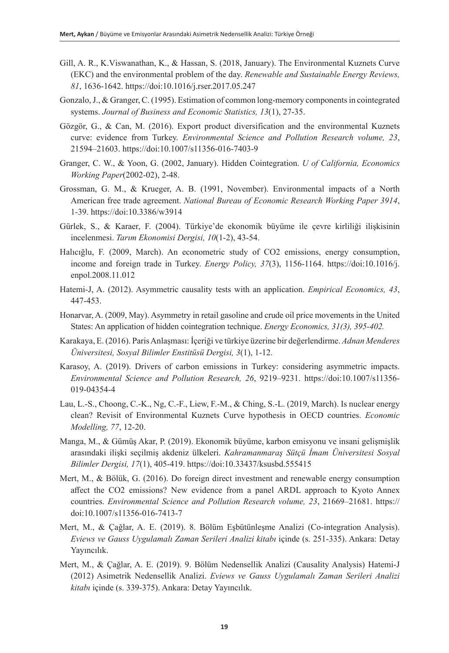- Gill, A. R., K.Viswanathan, K., & Hassan, S. (2018, January). The Environmental Kuznets Curve (EKC) and the environmental problem of the day. *Renewable and Sustainable Energy Reviews, 81*, 1636-1642. https://doi:10.1016/j.rser.2017.05.247
- Gonzalo, J., & Granger, C. (1995). Estimation of common long-memory components in cointegrated systems. *Journal of Business and Economic Statistics, 13*(1), 27-35.
- Gözgör, G., & Can, M. (2016). Export product diversification and the environmental Kuznets curve: evidence from Turkey. *Environmental Science and Pollution Research volume, 23*, 21594–21603. https://doi:10.1007/s11356-016-7403-9
- Granger, C. W., & Yoon, G. (2002, January). Hidden Cointegration. *U of California, Economics Working Paper*(2002-02), 2-48.
- Grossman, G. M., & Krueger, A. B. (1991, November). Environmental impacts of a North American free trade agreement. *National Bureau of Economic Research Working Paper 3914*, 1-39. https://doi:10.3386/w3914
- Gürlek, S., & Karaer, F. (2004). Türkiye'de ekonomik büyüme ile çevre kirliliği ilişkisinin incelenmesi. *Tarım Ekonomisi Dergisi, 10*(1-2), 43-54.
- Halıcığlu, F. (2009, March). An econometric study of CO2 emissions, energy consumption, income and foreign trade in Turkey. *Energy Policy, 37*(3), 1156-1164. https://doi:10.1016/j. enpol.2008.11.012
- Hatemi-J, A. (2012). Asymmetric causality tests with an application. *Empirical Economics, 43*, 447-453.
- Honarvar, A. (2009, May). Asymmetry in retail gasoline and crude oil price movements in the United States: An application of hidden cointegration technique. *Energy Economics, 31(3), 395-402.*
- Karakaya, E. (2016). Paris Anlaşması: İçeriği ve türkiye üzerine bir değerlendirme. *Adnan Menderes Üniversitesi, Sosyal Bilimler Enstitüsü Dergisi, 3*(1), 1-12.
- Karasoy, A. (2019). Drivers of carbon emissions in Turkey: considering asymmetric impacts. *Environmental Science and Pollution Research, 26*, 9219–9231. https://doi:10.1007/s11356- 019-04354-4
- Lau, L.-S., Choong, C.-K., Ng, C.-F., Liew, F.-M., & Ching, S.-L. (2019, March). Is nuclear energy clean? Revisit of Environmental Kuznets Curve hypothesis in OECD countries. *Economic Modelling, 77*, 12-20.
- Manga, M., & Gümüş Akar, P. (2019). Ekonomik büyüme, karbon emisyonu ve insani gelişmişlik arasındaki ilişki seçilmiş akdeniz ülkeleri. *Kahramanmaraş Sütçü İmam Üniversitesi Sosyal Bilimler Dergisi, 17*(1), 405-419. https://doi:10.33437/ksusbd.555415
- Mert, M., & Bölük, G. (2016). Do foreign direct investment and renewable energy consumption affect the CO2 emissions? New evidence from a panel ARDL approach to Kyoto Annex countries. *Environmental Science and Pollution Research volume, 23*, 21669–21681. https:// doi:10.1007/s11356-016-7413-7
- Mert, M., & Çağlar, A. E. (2019). 8. Bölüm Eşbütünleşme Analizi (Co-integration Analysis). *Eviews ve Gauss Uygulamalı Zaman Serileri Analizi kitabı* içinde (s. 251-335). Ankara: Detay Yayıncılık.
- Mert, M., & Çağlar, A. E. (2019). 9. Bölüm Nedensellik Analizi (Causality Analysis) Hatemi-J (2012) Asimetrik Nedensellik Analizi. *Eviews ve Gauss Uygulamalı Zaman Serileri Analizi kitabı* içinde (s. 339-375). Ankara: Detay Yayıncılık.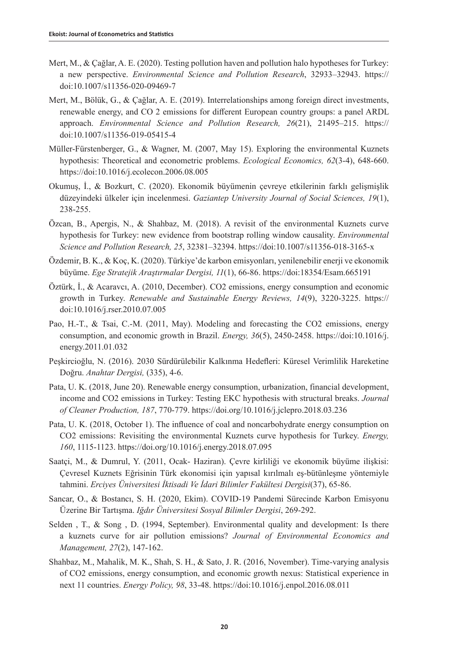- Mert, M., & Çağlar, A. E. (2020). Testing pollution haven and pollution halo hypotheses for Turkey: a new perspective. *Environmental Science and Pollution Research*, 32933–32943. https:// doi:10.1007/s11356-020-09469-7
- Mert, M., Bölük, G., & Çağlar, A. E. (2019). Interrelationships among foreign direct investments, renewable energy, and CO 2 emissions for different European country groups: a panel ARDL approach. *Environmental Science and Pollution Research, 26*(21), 21495–215. https:// doi:10.1007/s11356-019-05415-4
- Müller-Fürstenberger, G., & Wagner, M. (2007, May 15). Exploring the environmental Kuznets hypothesis: Theoretical and econometric problems. *Ecological Economics, 62*(3-4), 648-660. https://doi:10.1016/j.ecolecon.2006.08.005
- Okumuş, İ., & Bozkurt, C. (2020). Ekonomik büyümenin çevreye etkilerinin farklı gelişmişlik düzeyindeki ülkeler için incelenmesi. *Gaziantep University Journal of Social Sciences, 19*(1), 238-255.
- Özcan, B., Apergis, N., & Shahbaz, M. (2018). A revisit of the environmental Kuznets curve hypothesis for Turkey: new evidence from bootstrap rolling window causality. *Environmental Science and Pollution Research, 25*, 32381–32394. https://doi:10.1007/s11356-018-3165-x
- Özdemir, B. K., & Koç, K. (2020). Türkiye'de karbon emisyonları, yenilenebilir enerji ve ekonomik büyüme. *Ege Stratejik Araştırmalar Dergisi, 11*(1), 66-86. https://doi:18354/Esam.665191
- Öztürk, İ., & Acaravcı, A. (2010, December). CO2 emissions, energy consumption and economic growth in Turkey. *Renewable and Sustainable Energy Reviews, 14*(9), 3220-3225. https:// doi:10.1016/j.rser.2010.07.005
- Pao, H.-T., & Tsai, C.-M. (2011, May). Modeling and forecasting the CO2 emissions, energy consumption, and economic growth in Brazil. *Energy, 36*(5), 2450-2458. https://doi:10.1016/j. energy.2011.01.032
- Peşkircioğlu, N. (2016). 2030 Sürdürülebilir Kalkınma Hedefleri: Küresel Verimlilik Hareketine Doğru. *Anahtar Dergisi,* (335), 4-6.
- Pata, U. K. (2018, June 20). Renewable energy consumption, urbanization, financial development, income and CO2 emissions in Turkey: Testing EKC hypothesis with structural breaks. *Journal of Cleaner Production, 187*, 770-779. https://doi.org/10.1016/j.jclepro.2018.03.236
- Pata, U. K. (2018, October 1). The influence of coal and noncarbohydrate energy consumption on CO2 emissions: Revisiting the environmental Kuznets curve hypothesis for Turkey. *Energy, 160*, 1115-1123. https://doi.org/10.1016/j.energy.2018.07.095
- Saatçi, M., & Dumrul, Y. (2011, Ocak- Haziran). Çevre kirliliği ve ekonomik büyüme ilişkisi: Çevresel Kuznets Eğrisinin Türk ekonomisi için yapısal kırılmalı eş-bütünleşme yöntemiyle tahmini. *Erciyes Üniversitesi İktisadi Ve İdari Bilimler Fakültesi Dergisi*(37), 65-86.
- Sancar, O., & Bostancı, S. H. (2020, Ekim). COVID-19 Pandemi Sürecinde Karbon Emisyonu Üzerine Bir Tartışma. *Iğdır Üniversitesi Sosyal Bilimler Dergisi*, 269-292.
- Selden , T., & Song , D. (1994, September). Environmental quality and development: Is there a kuznets curve for air pollution emissions? *Journal of Environmental Economics and Management, 27*(2), 147-162.
- Shahbaz, M., Mahalik, M. K., Shah, S. H., & Sato, J. R. (2016, November). Time-varying analysis of CO2 emissions, energy consumption, and economic growth nexus: Statistical experience in next 11 countries. *Energy Policy, 98*, 33-48. https://doi:10.1016/j.enpol.2016.08.011